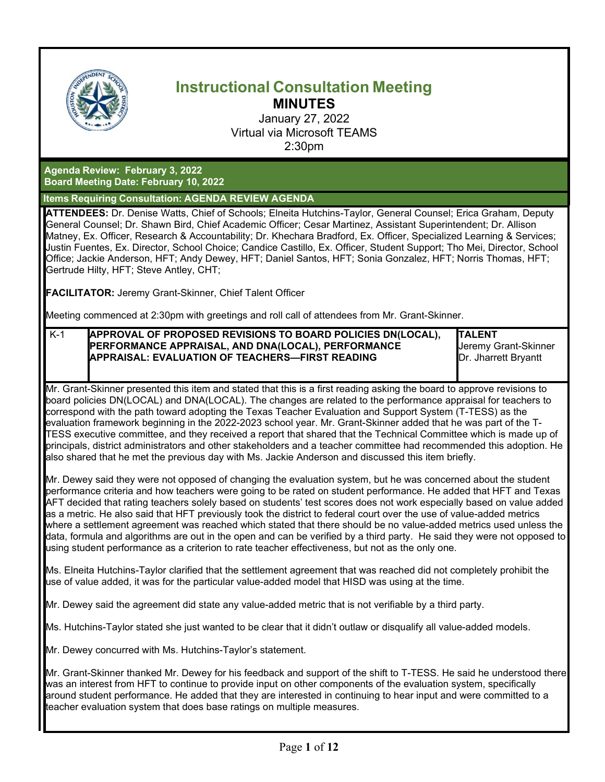

# **Instructional Consultation Meeting MINUTES**

January 27, 2022 Virtual via Microsoft TEAMS 2:30pm

**Agenda Review: February 3, 2022 Board Meeting Date: February 10, 2022**

**Items Requiring Consultation: AGENDA REVIEW AGENDA**

**ATTENDEES:** Dr. Denise Watts, Chief of Schools; Elneita Hutchins-Taylor, General Counsel; Erica Graham, Deputy General Counsel; Dr. Shawn Bird, Chief Academic Officer; Cesar Martinez, Assistant Superintendent; Dr. Allison Matney, Ex. Officer, Research & Accountability; Dr. Khechara Bradford, Ex. Officer, Specialized Learning & Services; Justin Fuentes, Ex. Director, School Choice; Candice Castillo, Ex. Officer, Student Support; Tho Mei, Director, School Office; Jackie Anderson, HFT; Andy Dewey, HFT; Daniel Santos, HFT; Sonia Gonzalez, HFT; Norris Thomas, HFT; Gertrude Hilty, HFT; Steve Antley, CHT;

**FACILITATOR:** Jeremy Grant-Skinner, Chief Talent Officer

Meeting commenced at 2:30pm with greetings and roll call of attendees from Mr. Grant-Skinner.

K-1 **APPROVAL OF PROPOSED REVISIONS TO BOARD POLICIES DN(LOCAL), PERFORMANCE APPRAISAL, AND DNA(LOCAL), PERFORMANCE APPRAISAL: EVALUATION OF TEACHERS—FIRST READING**

**TALENT** Jeremy Grant-Skinner Dr. Jharrett Bryantt

Mr. Grant-Skinner presented this item and stated that this is a first reading asking the board to approve revisions to board policies DN(LOCAL) and DNA(LOCAL). The changes are related to the performance appraisal for teachers to correspond with the path toward adopting the Texas Teacher Evaluation and Support System (T-TESS) as the evaluation framework beginning in the 2022-2023 school year. Mr. Grant-Skinner added that he was part of the T-TESS executive committee, and they received a report that shared that the Technical Committee which is made up of principals, district administrators and other stakeholders and a teacher committee had recommended this adoption. He also shared that he met the previous day with Ms. Jackie Anderson and discussed this item briefly.

Mr. Dewey said they were not opposed of changing the evaluation system, but he was concerned about the student performance criteria and how teachers were going to be rated on student performance. He added that HFT and Texas AFT decided that rating teachers solely based on students' test scores does not work especially based on value added as a metric. He also said that HFT previously took the district to federal court over the use of value-added metrics where a settlement agreement was reached which stated that there should be no value-added metrics used unless the data, formula and algorithms are out in the open and can be verified by a third party. He said they were not opposed to using student performance as a criterion to rate teacher effectiveness, but not as the only one.

Ms. Elneita Hutchins-Taylor clarified that the settlement agreement that was reached did not completely prohibit the use of value added, it was for the particular value-added model that HISD was using at the time.

Mr. Dewey said the agreement did state any value-added metric that is not verifiable by a third party.

Ms. Hutchins-Taylor stated she just wanted to be clear that it didn't outlaw or disqualify all value-added models.

Mr. Dewey concurred with Ms. Hutchins-Taylor's statement.

Mr. Grant-Skinner thanked Mr. Dewey for his feedback and support of the shift to T-TESS. He said he understood there was an interest from HFT to continue to provide input on other components of the evaluation system, specifically around student performance. He added that they are interested in continuing to hear input and were committed to a teacher evaluation system that does base ratings on multiple measures.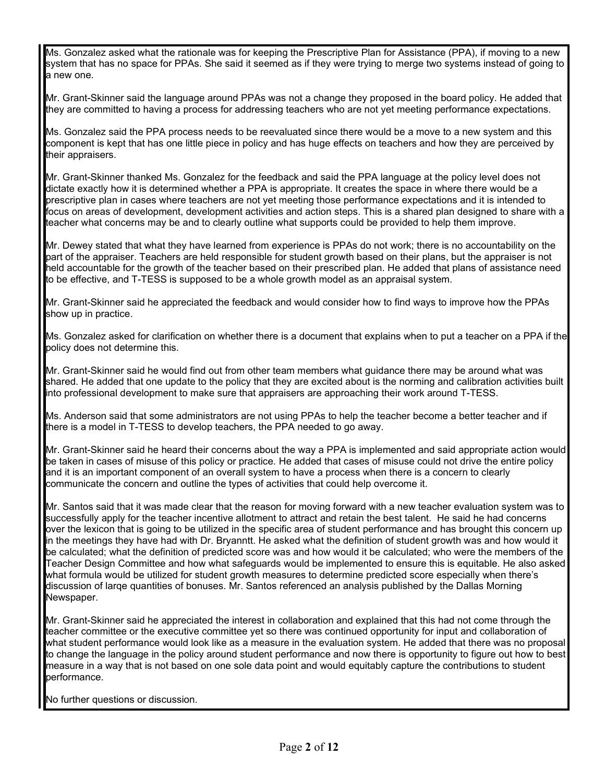Ms. Gonzalez asked what the rationale was for keeping the Prescriptive Plan for Assistance (PPA), if moving to a new system that has no space for PPAs. She said it seemed as if they were trying to merge two systems instead of going to a new one.

Mr. Grant-Skinner said the language around PPAs was not a change they proposed in the board policy. He added that they are committed to having a process for addressing teachers who are not yet meeting performance expectations.

Ms. Gonzalez said the PPA process needs to be reevaluated since there would be a move to a new system and this component is kept that has one little piece in policy and has huge effects on teachers and how they are perceived by their appraisers.

Mr. Grant-Skinner thanked Ms. Gonzalez for the feedback and said the PPA language at the policy level does not dictate exactly how it is determined whether a PPA is appropriate. It creates the space in where there would be a prescriptive plan in cases where teachers are not yet meeting those performance expectations and it is intended to focus on areas of development, development activities and action steps. This is a shared plan designed to share with a teacher what concerns may be and to clearly outline what supports could be provided to help them improve.

Mr. Dewey stated that what they have learned from experience is PPAs do not work; there is no accountability on the part of the appraiser. Teachers are held responsible for student growth based on their plans, but the appraiser is not held accountable for the growth of the teacher based on their prescribed plan. He added that plans of assistance need to be effective, and T-TESS is supposed to be a whole growth model as an appraisal system.

Mr. Grant-Skinner said he appreciated the feedback and would consider how to find ways to improve how the PPAs show up in practice.

Ms. Gonzalez asked for clarification on whether there is a document that explains when to put a teacher on a PPA if the policy does not determine this.

Mr. Grant-Skinner said he would find out from other team members what guidance there may be around what was shared. He added that one update to the policy that they are excited about is the norming and calibration activities built into professional development to make sure that appraisers are approaching their work around T-TESS.

Ms. Anderson said that some administrators are not using PPAs to help the teacher become a better teacher and if there is a model in T-TESS to develop teachers, the PPA needed to go away.

Mr. Grant-Skinner said he heard their concerns about the way a PPA is implemented and said appropriate action would be taken in cases of misuse of this policy or practice. He added that cases of misuse could not drive the entire policy and it is an important component of an overall system to have a process when there is a concern to clearly communicate the concern and outline the types of activities that could help overcome it.

Mr. Santos said that it was made clear that the reason for moving forward with a new teacher evaluation system was to successfully apply for the teacher incentive allotment to attract and retain the best talent. He said he had concerns over the lexicon that is going to be utilized in the specific area of student performance and has brought this concern up in the meetings they have had with Dr. Bryanntt. He asked what the definition of student growth was and how would it be calculated; what the definition of predicted score was and how would it be calculated; who were the members of the Teacher Design Committee and how what safeguards would be implemented to ensure this is equitable. He also asked what formula would be utilized for student growth measures to determine predicted score especially when there's discussion of larqe quantities of bonuses. Mr. Santos referenced an analysis published by the Dallas Morning Newspaper.

Mr. Grant-Skinner said he appreciated the interest in collaboration and explained that this had not come through the teacher committee or the executive committee yet so there was continued opportunity for input and collaboration of what student performance would look like as a measure in the evaluation system. He added that there was no proposal to change the language in the policy around student performance and now there is opportunity to figure out how to best measure in a way that is not based on one sole data point and would equitably capture the contributions to student performance.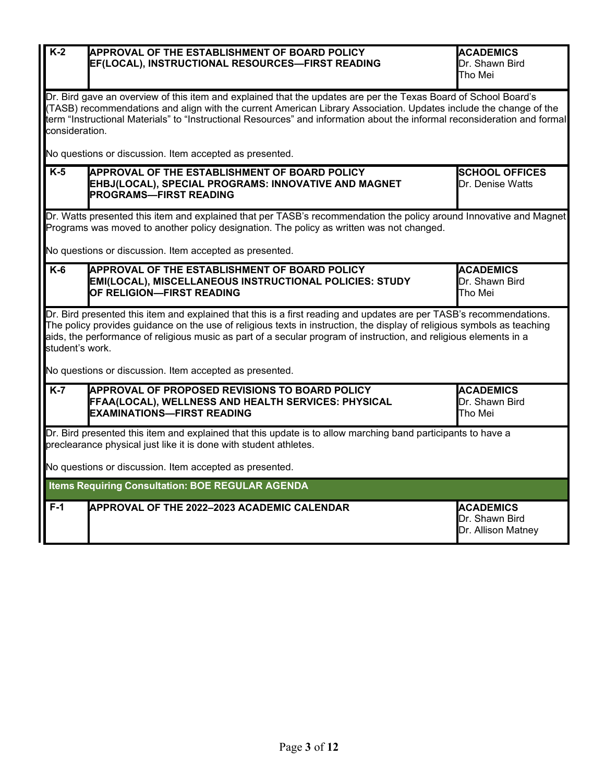| $K-2$                                                                                                                                                                                                                                                                                                                                                                                  | <b>APPROVAL OF THE ESTABLISHMENT OF BOARD POLICY</b><br>EF(LOCAL), INSTRUCTIONAL RESOURCES-FIRST READING                                                                                                                                                                                                                                                                            | <b>ACADEMICS</b><br>Dr. Shawn Bird<br>Tho Mei            |  |  |  |
|----------------------------------------------------------------------------------------------------------------------------------------------------------------------------------------------------------------------------------------------------------------------------------------------------------------------------------------------------------------------------------------|-------------------------------------------------------------------------------------------------------------------------------------------------------------------------------------------------------------------------------------------------------------------------------------------------------------------------------------------------------------------------------------|----------------------------------------------------------|--|--|--|
|                                                                                                                                                                                                                                                                                                                                                                                        | Dr. Bird gave an overview of this item and explained that the updates are per the Texas Board of School Board's<br>(TASB) recommendations and align with the current American Library Association. Updates include the change of the<br>term "Instructional Materials" to "Instructional Resources" and information about the informal reconsideration and formal<br>consideration. |                                                          |  |  |  |
|                                                                                                                                                                                                                                                                                                                                                                                        | No questions or discussion. Item accepted as presented.                                                                                                                                                                                                                                                                                                                             |                                                          |  |  |  |
| $K-5$                                                                                                                                                                                                                                                                                                                                                                                  | <b>APPROVAL OF THE ESTABLISHMENT OF BOARD POLICY</b><br>EHBJ(LOCAL), SPECIAL PROGRAMS: INNOVATIVE AND MAGNET<br><b>PROGRAMS-FIRST READING</b>                                                                                                                                                                                                                                       | <b>SCHOOL OFFICES</b><br>Dr. Denise Watts                |  |  |  |
|                                                                                                                                                                                                                                                                                                                                                                                        | Dr. Watts presented this item and explained that per TASB's recommendation the policy around Innovative and Magnet<br>Programs was moved to another policy designation. The policy as written was not changed.                                                                                                                                                                      |                                                          |  |  |  |
|                                                                                                                                                                                                                                                                                                                                                                                        | No questions or discussion. Item accepted as presented.                                                                                                                                                                                                                                                                                                                             |                                                          |  |  |  |
| $K-6$                                                                                                                                                                                                                                                                                                                                                                                  | APPROVAL OF THE ESTABLISHMENT OF BOARD POLICY<br>EMI(LOCAL), MISCELLANEOUS INSTRUCTIONAL POLICIES: STUDY<br>OF RELIGION-FIRST READING                                                                                                                                                                                                                                               | <b>ACADEMICS</b><br>Dr. Shawn Bird<br>Tho Mei            |  |  |  |
| Dr. Bird presented this item and explained that this is a first reading and updates are per TASB's recommendations.<br>The policy provides guidance on the use of religious texts in instruction, the display of religious symbols as teaching<br>aids, the performance of religious music as part of a secular program of instruction, and religious elements in a<br>student's work. |                                                                                                                                                                                                                                                                                                                                                                                     |                                                          |  |  |  |
|                                                                                                                                                                                                                                                                                                                                                                                        | No questions or discussion. Item accepted as presented.                                                                                                                                                                                                                                                                                                                             |                                                          |  |  |  |
| $K-7$                                                                                                                                                                                                                                                                                                                                                                                  | APPROVAL OF PROPOSED REVISIONS TO BOARD POLICY<br>FFAA(LOCAL), WELLNESS AND HEALTH SERVICES: PHYSICAL<br><b>EXAMINATIONS-FIRST READING</b>                                                                                                                                                                                                                                          | <b>ACADEMICS</b><br>Dr. Shawn Bird<br>Tho Mei            |  |  |  |
| Dr. Bird presented this item and explained that this update is to allow marching band participants to have a<br>preclearance physical just like it is done with student athletes.                                                                                                                                                                                                      |                                                                                                                                                                                                                                                                                                                                                                                     |                                                          |  |  |  |
| No questions or discussion. Item accepted as presented.                                                                                                                                                                                                                                                                                                                                |                                                                                                                                                                                                                                                                                                                                                                                     |                                                          |  |  |  |
| Items Requiring Consultation: BOE REGULAR AGENDA                                                                                                                                                                                                                                                                                                                                       |                                                                                                                                                                                                                                                                                                                                                                                     |                                                          |  |  |  |
| $F-1$                                                                                                                                                                                                                                                                                                                                                                                  | APPROVAL OF THE 2022-2023 ACADEMIC CALENDAR                                                                                                                                                                                                                                                                                                                                         | <b>ACADEMICS</b><br>Dr. Shawn Bird<br>Dr. Allison Matney |  |  |  |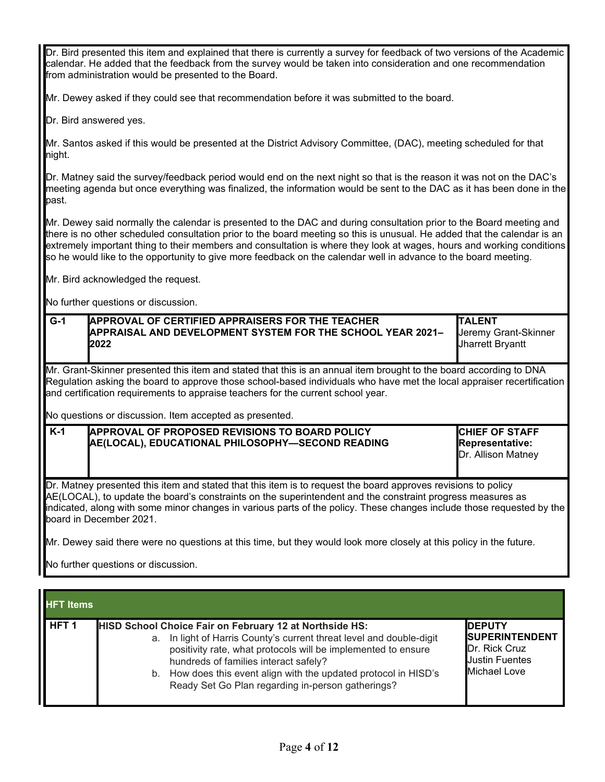Dr. Bird presented this item and explained that there is currently a survey for feedback of two versions of the Academic calendar. He added that the feedback from the survey would be taken into consideration and one recommendation from administration would be presented to the Board.

Mr. Dewey asked if they could see that recommendation before it was submitted to the board.

Dr. Bird answered yes.

Mr. Santos asked if this would be presented at the District Advisory Committee, (DAC), meeting scheduled for that night.

Dr. Matney said the survey/feedback period would end on the next night so that is the reason it was not on the DAC's meeting agenda but once everything was finalized, the information would be sent to the DAC as it has been done in the past.

Mr. Dewey said normally the calendar is presented to the DAC and during consultation prior to the Board meeting and there is no other scheduled consultation prior to the board meeting so this is unusual. He added that the calendar is an extremely important thing to their members and consultation is where they look at wages, hours and working conditions so he would like to the opportunity to give more feedback on the calendar well in advance to the board meeting.

Mr. Bird acknowledged the request.

No further questions or discussion.

| $G-1$                                                                                                                                                                                                                                                                                                                                                                           | <b>APPROVAL OF CERTIFIED APPRAISERS FOR THE TEACHER</b><br>APPRAISAL AND DEVELOPMENT SYSTEM FOR THE SCHOOL YEAR 2021-<br>2022                                                                                                                                                                                                                                                               | <b>TALENT</b><br>Jeremy Grant-Skinner<br>Jharrett Bryantt             |  |  |
|---------------------------------------------------------------------------------------------------------------------------------------------------------------------------------------------------------------------------------------------------------------------------------------------------------------------------------------------------------------------------------|---------------------------------------------------------------------------------------------------------------------------------------------------------------------------------------------------------------------------------------------------------------------------------------------------------------------------------------------------------------------------------------------|-----------------------------------------------------------------------|--|--|
|                                                                                                                                                                                                                                                                                                                                                                                 | Mr. Grant-Skinner presented this item and stated that this is an annual item brought to the board according to DNA<br>Regulation asking the board to approve those school-based individuals who have met the local appraiser recertification<br>and certification requirements to appraise teachers for the current school year.<br>No questions or discussion. Item accepted as presented. |                                                                       |  |  |
| $K-1$                                                                                                                                                                                                                                                                                                                                                                           | <b>APPROVAL OF PROPOSED REVISIONS TO BOARD POLICY</b><br>AE(LOCAL), EDUCATIONAL PHILOSOPHY-SECOND READING                                                                                                                                                                                                                                                                                   | <b>CHIEF OF STAFF</b><br><b>Representative:</b><br>Dr. Allison Matney |  |  |
| Dr. Matney presented this item and stated that this item is to request the board approves revisions to policy<br>AE(LOCAL), to update the board's constraints on the superintendent and the constraint progress measures as<br>indicated, along with some minor changes in various parts of the policy. These changes include those requested by the<br>board in December 2021. |                                                                                                                                                                                                                                                                                                                                                                                             |                                                                       |  |  |

Mr. Dewey said there were no questions at this time, but they would look more closely at this policy in the future.

| <b>HFT</b> Items |                                                                                                                                                                                                                                                                                                                                                                                 |                                                                                                          |  |
|------------------|---------------------------------------------------------------------------------------------------------------------------------------------------------------------------------------------------------------------------------------------------------------------------------------------------------------------------------------------------------------------------------|----------------------------------------------------------------------------------------------------------|--|
| HFT <sub>1</sub> | <b>HISD School Choice Fair on February 12 at Northside HS:</b><br>In light of Harris County's current threat level and double-digit<br>a.<br>positivity rate, what protocols will be implemented to ensure<br>hundreds of families interact safely?<br>How does this event align with the updated protocol in HISD's<br>b.<br>Ready Set Go Plan regarding in-person gatherings? | <b>IDEPUTY</b><br><b>SUPERINTENDENT</b><br><b>Dr. Rick Cruz</b><br><b>Justin Fuentes</b><br>Michael Love |  |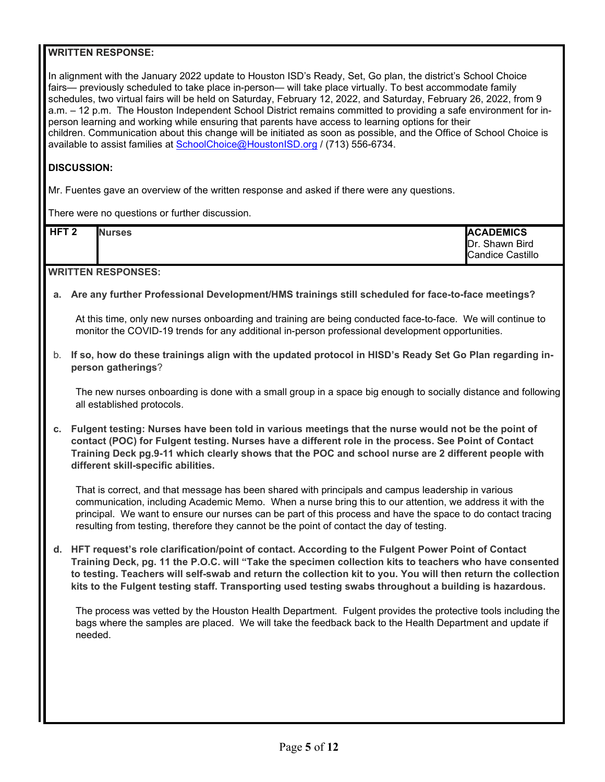In alignment with the January 2022 update to Houston ISD's Ready, Set, Go plan, the district's School Choice fairs— previously scheduled to take place in-person— will take place virtually. To best accommodate family schedules, two virtual fairs will be held on Saturday, February 12, 2022, and Saturday, February 26, 2022, from 9 a.m. – 12 p.m. The Houston Independent School District remains committed to providing a safe environment for inperson learning and working while ensuring that parents have access to learning options for their children. Communication about this change will be initiated as soon as possible, and the Office of School Choice is available to assist families at [SchoolChoice@HoustonISD.org](mailto:SchoolChoice@HoustonISD.org) / (713) 556-6734.

#### **DISCUSSION:**

Mr. Fuentes gave an overview of the written response and asked if there were any questions.

There were no questions or further discussion.

| HFT <sub>2</sub> | <b>Nurses</b> | <b>ACADEMICS</b>                          |
|------------------|---------------|-------------------------------------------|
|                  |               | Dr. Shawn Bird<br><b>Candice Castillo</b> |
|                  |               |                                           |

**WRITTEN RESPONSES:** 

**a. Are any further Professional Development/HMS trainings still scheduled for face-to-face meetings?**

At this time, only new nurses onboarding and training are being conducted face-to-face. We will continue to monitor the COVID-19 trends for any additional in-person professional development opportunities.

b. **If so, how do these trainings align with the updated protocol in HISD's Ready Set Go Plan regarding inperson gatherings**?

The new nurses onboarding is done with a small group in a space big enough to socially distance and following all established protocols.

**c. Fulgent testing: Nurses have been told in various meetings that the nurse would not be the point of contact (POC) for Fulgent testing. Nurses have a different role in the process. See Point of Contact Training Deck pg.9-11 which clearly shows that the POC and school nurse are 2 different people with different skill-specific abilities.** 

That is correct, and that message has been shared with principals and campus leadership in various communication, including Academic Memo. When a nurse bring this to our attention, we address it with the principal. We want to ensure our nurses can be part of this process and have the space to do contact tracing resulting from testing, therefore they cannot be the point of contact the day of testing.

**d. HFT request's role clarification/point of contact. According to the Fulgent Power Point of Contact Training Deck, pg. 11 the P.O.C. will "Take the specimen collection kits to teachers who have consented to testing. Teachers will self-swab and return the collection kit to you. You will then return the collection kits to the Fulgent testing staff. Transporting used testing swabs throughout a building is hazardous.**

The process was vetted by the Houston Health Department. Fulgent provides the protective tools including the bags where the samples are placed. We will take the feedback back to the Health Department and update if needed.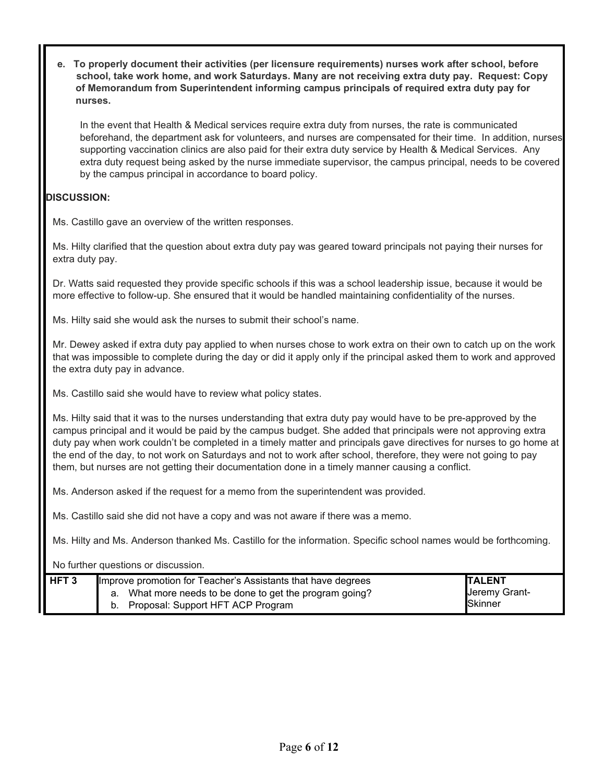**e. To properly document their activities (per licensure requirements) nurses work after school, before school, take work home, and work Saturdays. Many are not receiving extra duty pay. Request: Copy of Memorandum from Superintendent informing campus principals of required extra duty pay for nurses.**

In the event that Health & Medical services require extra duty from nurses, the rate is communicated beforehand, the department ask for volunteers, and nurses are compensated for their time. In addition, nurses supporting vaccination clinics are also paid for their extra duty service by Health & Medical Services. Any extra duty request being asked by the nurse immediate supervisor, the campus principal, needs to be covered by the campus principal in accordance to board policy.

# **DISCUSSION:**

Ms. Castillo gave an overview of the written responses.

Ms. Hilty clarified that the question about extra duty pay was geared toward principals not paying their nurses for extra duty pay.

Dr. Watts said requested they provide specific schools if this was a school leadership issue, because it would be more effective to follow-up. She ensured that it would be handled maintaining confidentiality of the nurses.

Ms. Hilty said she would ask the nurses to submit their school's name.

Mr. Dewey asked if extra duty pay applied to when nurses chose to work extra on their own to catch up on the work that was impossible to complete during the day or did it apply only if the principal asked them to work and approved the extra duty pay in advance.

Ms. Castillo said she would have to review what policy states.

Ms. Hilty said that it was to the nurses understanding that extra duty pay would have to be pre-approved by the campus principal and it would be paid by the campus budget. She added that principals were not approving extra duty pay when work couldn't be completed in a timely matter and principals gave directives for nurses to go home at the end of the day, to not work on Saturdays and not to work after school, therefore, they were not going to pay them, but nurses are not getting their documentation done in a timely manner causing a conflict.

Ms. Anderson asked if the request for a memo from the superintendent was provided.

Ms. Castillo said she did not have a copy and was not aware if there was a memo.

Ms. Hilty and Ms. Anderson thanked Ms. Castillo for the information. Specific school names would be forthcoming.

| HFT <sub>3</sub> | Improve promotion for Teacher's Assistants that have degrees                                    | <b>TALENT</b>                     |
|------------------|-------------------------------------------------------------------------------------------------|-----------------------------------|
|                  | a. What more needs to be done to get the program going?<br>b. Proposal: Support HFT ACP Program | Jeremy Grant-<br><b>I</b> Skinner |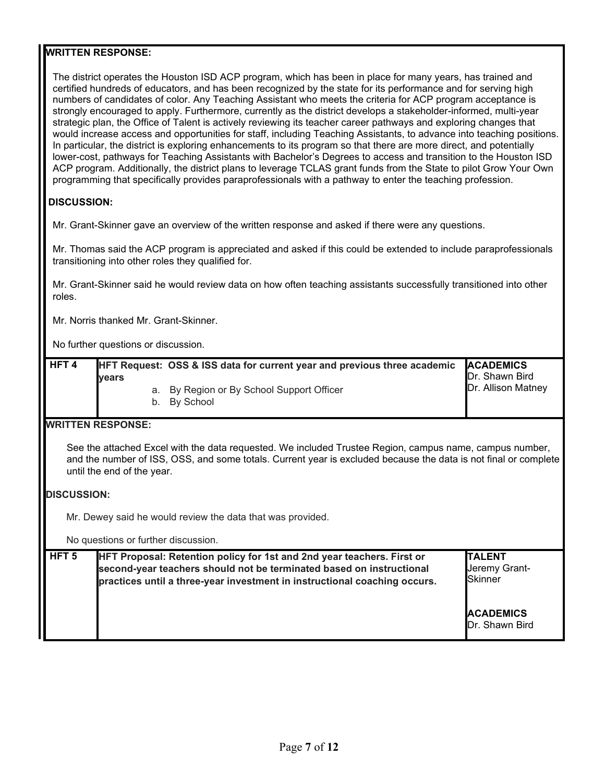The district operates the Houston ISD ACP program, which has been in place for many years, has trained and certified hundreds of educators, and has been recognized by the state for its performance and for serving high numbers of candidates of color. Any Teaching Assistant who meets the criteria for ACP program acceptance is strongly encouraged to apply. Furthermore, currently as the district develops a stakeholder-informed, multi-year strategic plan, the Office of Talent is actively reviewing its teacher career pathways and exploring changes that would increase access and opportunities for staff, including Teaching Assistants, to advance into teaching positions. In particular, the district is exploring enhancements to its program so that there are more direct, and potentially lower-cost, pathways for Teaching Assistants with Bachelor's Degrees to access and transition to the Houston ISD ACP program. Additionally, the district plans to leverage TCLAS grant funds from the State to pilot Grow Your Own programming that specifically provides paraprofessionals with a pathway to enter the teaching profession.

## **DISCUSSION:**

Mr. Grant-Skinner gave an overview of the written response and asked if there were any questions.

Mr. Thomas said the ACP program is appreciated and asked if this could be extended to include paraprofessionals transitioning into other roles they qualified for.

Mr. Grant-Skinner said he would review data on how often teaching assistants successfully transitioned into other roles.

Mr. Norris thanked Mr. Grant-Skinner.

No further questions or discussion.

| HFT <sub>4</sub> |              | HFT Request: OSS & ISS data for current year and previous three academic | <b>ACADEMICS</b><br>Dr. Shawn Bird |
|------------------|--------------|--------------------------------------------------------------------------|------------------------------------|
|                  | <b>vears</b> | a. By Region or By School Support Officer<br>b. By School                | Dr. Allison Matney                 |

## **WRITTEN RESPONSE:**

See the attached Excel with the data requested. We included Trustee Region, campus name, campus number, and the number of ISS, OSS, and some totals. Current year is excluded because the data is not final or complete until the end of the year.

#### **DISCUSSION:**

Mr. Dewey said he would review the data that was provided.

No questions or further discussion.

| HFT <sub>5</sub> | HFT Proposal: Retention policy for 1st and 2nd year teachers. First or<br>second-year teachers should not be terminated based on instructional<br>practices until a three-year investment in instructional coaching occurs. | <b>ITALENT</b><br>Jeremy Grant-<br>Skinner |
|------------------|-----------------------------------------------------------------------------------------------------------------------------------------------------------------------------------------------------------------------------|--------------------------------------------|
|                  |                                                                                                                                                                                                                             | <b>ACADEMICS</b><br>Dr. Shawn Bird         |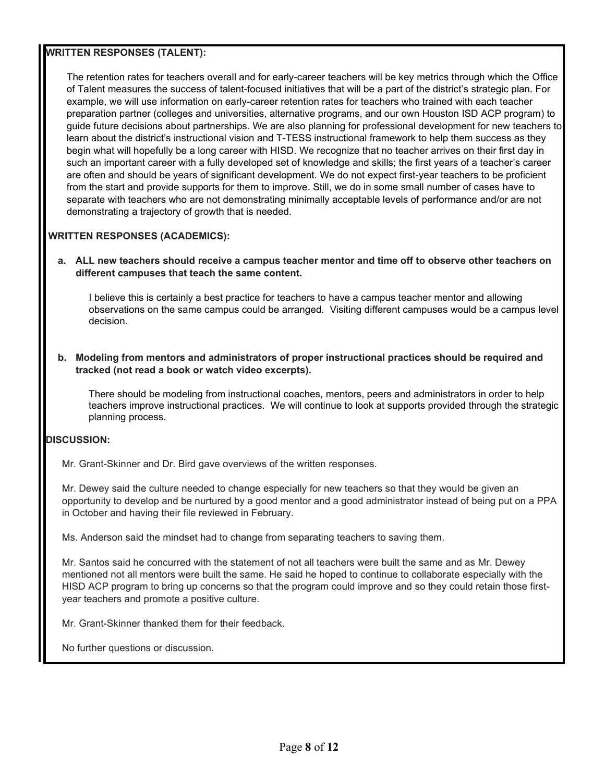## **WRITTEN RESPONSES (TALENT):**

The retention rates for teachers overall and for early-career teachers will be key metrics through which the Office of Talent measures the success of talent-focused initiatives that will be a part of the district's strategic plan. For example, we will use information on early-career retention rates for teachers who trained with each teacher preparation partner (colleges and universities, alternative programs, and our own Houston ISD ACP program) to guide future decisions about partnerships. We are also planning for professional development for new teachers to learn about the district's instructional vision and T-TESS instructional framework to help them success as they begin what will hopefully be a long career with HISD. We recognize that no teacher arrives on their first day in such an important career with a fully developed set of knowledge and skills; the first years of a teacher's career are often and should be years of significant development. We do not expect first-year teachers to be proficient from the start and provide supports for them to improve. Still, we do in some small number of cases have to separate with teachers who are not demonstrating minimally acceptable levels of performance and/or are not demonstrating a trajectory of growth that is needed.

## **WRITTEN RESPONSES (ACADEMICS):**

#### **a. ALL new teachers should receive a campus teacher mentor and time off to observe other teachers on different campuses that teach the same content.**

I believe this is certainly a best practice for teachers to have a campus teacher mentor and allowing observations on the same campus could be arranged. Visiting different campuses would be a campus level decision.

**b. Modeling from mentors and administrators of proper instructional practices should be required and tracked (not read a book or watch video excerpts).**

There should be modeling from instructional coaches, mentors, peers and administrators in order to help teachers improve instructional practices. We will continue to look at supports provided through the strategic planning process.

### **DISCUSSION:**

Mr. Grant-Skinner and Dr. Bird gave overviews of the written responses.

Mr. Dewey said the culture needed to change especially for new teachers so that they would be given an opportunity to develop and be nurtured by a good mentor and a good administrator instead of being put on a PPA in October and having their file reviewed in February.

Ms. Anderson said the mindset had to change from separating teachers to saving them.

Mr. Santos said he concurred with the statement of not all teachers were built the same and as Mr. Dewey mentioned not all mentors were built the same. He said he hoped to continue to collaborate especially with the HISD ACP program to bring up concerns so that the program could improve and so they could retain those firstyear teachers and promote a positive culture.

Mr. Grant-Skinner thanked them for their feedback.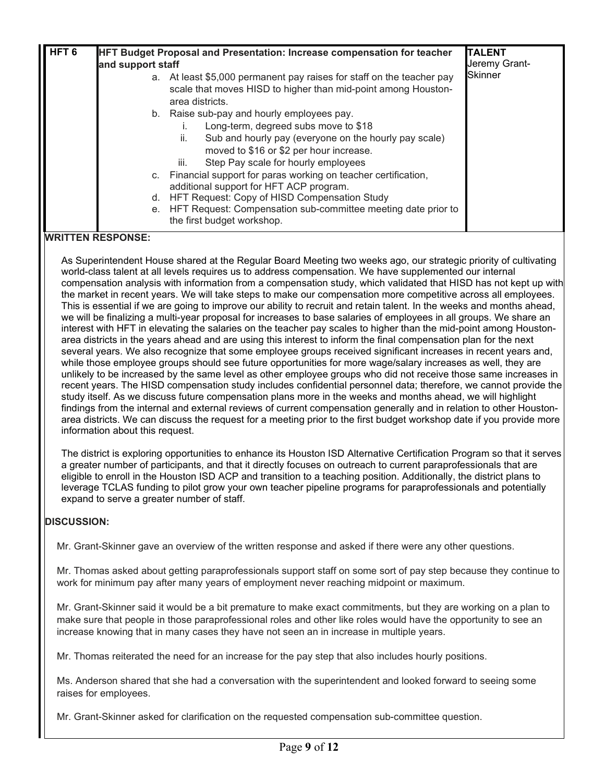| HFT <sub>6</sub> |                   | <b>HFT Budget Proposal and Presentation: Increase compensation for teacher</b> | <b>TALENT</b>  |
|------------------|-------------------|--------------------------------------------------------------------------------|----------------|
|                  | and support staff |                                                                                | Jeremy Grant-  |
|                  | а.                | At least \$5,000 permanent pay raises for staff on the teacher pay             | <b>Skinner</b> |
|                  |                   | scale that moves HISD to higher than mid-point among Houston-                  |                |
|                  |                   | area districts.                                                                |                |
|                  |                   | b. Raise sub-pay and hourly employees pay.                                     |                |
|                  |                   | Long-term, degreed subs move to \$18                                           |                |
|                  |                   | Sub and hourly pay (everyone on the hourly pay scale)<br>ii.                   |                |
|                  |                   | moved to \$16 or \$2 per hour increase.                                        |                |
|                  |                   | Step Pay scale for hourly employees<br>iii.                                    |                |
|                  |                   | c. Financial support for paras working on teacher certification,               |                |
|                  |                   | additional support for HFT ACP program.                                        |                |
|                  | d.                | HFT Request: Copy of HISD Compensation Study                                   |                |
|                  | е.                | HFT Request: Compensation sub-committee meeting date prior to                  |                |
|                  |                   | the first budget workshop.                                                     |                |
|                  | $\blacksquare$    |                                                                                |                |

As Superintendent House shared at the Regular Board Meeting two weeks ago, our strategic priority of cultivating world-class talent at all levels requires us to address compensation. We have supplemented our internal compensation analysis with information from a compensation study, which validated that HISD has not kept up with the market in recent years. We will take steps to make our compensation more competitive across all employees. This is essential if we are going to improve our ability to recruit and retain talent. In the weeks and months ahead, we will be finalizing a multi-year proposal for increases to base salaries of employees in all groups. We share an interest with HFT in elevating the salaries on the teacher pay scales to higher than the mid-point among Houstonarea districts in the years ahead and are using this interest to inform the final compensation plan for the next several years. We also recognize that some employee groups received significant increases in recent years and, while those employee groups should see future opportunities for more wage/salary increases as well, they are unlikely to be increased by the same level as other employee groups who did not receive those same increases in recent years. The HISD compensation study includes confidential personnel data; therefore, we cannot provide the study itself. As we discuss future compensation plans more in the weeks and months ahead, we will highlight findings from the internal and external reviews of current compensation generally and in relation to other Houstonarea districts. We can discuss the request for a meeting prior to the first budget workshop date if you provide more information about this request.

The district is exploring opportunities to enhance its Houston ISD Alternative Certification Program so that it serves a greater number of participants, and that it directly focuses on outreach to current paraprofessionals that are eligible to enroll in the Houston ISD ACP and transition to a teaching position. Additionally, the district plans to leverage TCLAS funding to pilot grow your own teacher pipeline programs for paraprofessionals and potentially expand to serve a greater number of staff.

## **DISCUSSION:**

Mr. Grant-Skinner gave an overview of the written response and asked if there were any other questions.

Mr. Thomas asked about getting paraprofessionals support staff on some sort of pay step because they continue to work for minimum pay after many years of employment never reaching midpoint or maximum.

Mr. Grant-Skinner said it would be a bit premature to make exact commitments, but they are working on a plan to make sure that people in those paraprofessional roles and other like roles would have the opportunity to see an increase knowing that in many cases they have not seen an in increase in multiple years.

Mr. Thomas reiterated the need for an increase for the pay step that also includes hourly positions.

Ms. Anderson shared that she had a conversation with the superintendent and looked forward to seeing some raises for employees.

Mr. Grant-Skinner asked for clarification on the requested compensation sub-committee question.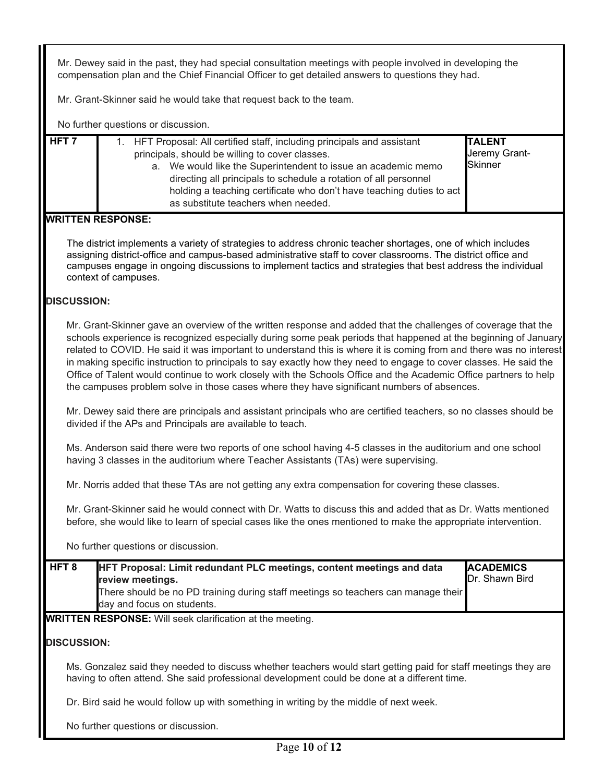Mr. Dewey said in the past, they had special consultation meetings with people involved in developing the compensation plan and the Chief Financial Officer to get detailed answers to questions they had.

Mr. Grant-Skinner said he would take that request back to the team.

| <u>INO</u> TOI LITET QUESTIONS OF GISCUSSION.                      |                                                                                                                                                                                                                                                                                                                                                                                                                                                                                                                                                                                                                                                                                              |                                                  |
|--------------------------------------------------------------------|----------------------------------------------------------------------------------------------------------------------------------------------------------------------------------------------------------------------------------------------------------------------------------------------------------------------------------------------------------------------------------------------------------------------------------------------------------------------------------------------------------------------------------------------------------------------------------------------------------------------------------------------------------------------------------------------|--------------------------------------------------|
| HFT <sub>7</sub>                                                   | 1. HFT Proposal: All certified staff, including principals and assistant<br>principals, should be willing to cover classes.<br>a. We would like the Superintendent to issue an academic memo<br>directing all principals to schedule a rotation of all personnel<br>holding a teaching certificate who don't have teaching duties to act<br>as substitute teachers when needed.                                                                                                                                                                                                                                                                                                              | <b>TALENT</b><br>Jeremy Grant-<br><b>Skinner</b> |
| <b>WRITTEN RESPONSE:</b>                                           |                                                                                                                                                                                                                                                                                                                                                                                                                                                                                                                                                                                                                                                                                              |                                                  |
| context of campuses.                                               | The district implements a variety of strategies to address chronic teacher shortages, one of which includes<br>assigning district-office and campus-based administrative staff to cover classrooms. The district office and<br>campuses engage in ongoing discussions to implement tactics and strategies that best address the individual                                                                                                                                                                                                                                                                                                                                                   |                                                  |
| <b>DISCUSSION:</b>                                                 |                                                                                                                                                                                                                                                                                                                                                                                                                                                                                                                                                                                                                                                                                              |                                                  |
|                                                                    | Mr. Grant-Skinner gave an overview of the written response and added that the challenges of coverage that the<br>schools experience is recognized especially during some peak periods that happened at the beginning of January<br>related to COVID. He said it was important to understand this is where it is coming from and there was no interest<br>in making specific instruction to principals to say exactly how they need to engage to cover classes. He said the<br>Office of Talent would continue to work closely with the Schools Office and the Academic Office partners to help<br>the campuses problem solve in those cases where they have significant numbers of absences. |                                                  |
|                                                                    | Mr. Dewey said there are principals and assistant principals who are certified teachers, so no classes should be<br>divided if the APs and Principals are available to teach.                                                                                                                                                                                                                                                                                                                                                                                                                                                                                                                |                                                  |
|                                                                    | Ms. Anderson said there were two reports of one school having 4-5 classes in the auditorium and one school<br>having 3 classes in the auditorium where Teacher Assistants (TAs) were supervising.                                                                                                                                                                                                                                                                                                                                                                                                                                                                                            |                                                  |
|                                                                    | Mr. Norris added that these TAs are not getting any extra compensation for covering these classes.                                                                                                                                                                                                                                                                                                                                                                                                                                                                                                                                                                                           |                                                  |
|                                                                    | Mr. Grant-Skinner said he would connect with Dr. Watts to discuss this and added that as Dr. Watts mentioned<br>before, she would like to learn of special cases like the ones mentioned to make the appropriate intervention.                                                                                                                                                                                                                                                                                                                                                                                                                                                               |                                                  |
| No further questions or discussion.                                |                                                                                                                                                                                                                                                                                                                                                                                                                                                                                                                                                                                                                                                                                              |                                                  |
| HFT <sub>8</sub><br>review meetings.<br>day and focus on students. | HFT Proposal: Limit redundant PLC meetings, content meetings and data<br>There should be no PD training during staff meetings so teachers can manage their                                                                                                                                                                                                                                                                                                                                                                                                                                                                                                                                   | <b>ACADEMICS</b><br>Dr. Shawn Bird               |
|                                                                    | <b>WRITTEN RESPONSE:</b> Will seek clarification at the meeting.                                                                                                                                                                                                                                                                                                                                                                                                                                                                                                                                                                                                                             |                                                  |
| <b>DISCUSSION:</b>                                                 |                                                                                                                                                                                                                                                                                                                                                                                                                                                                                                                                                                                                                                                                                              |                                                  |
|                                                                    | Ms. Gonzalez said they needed to discuss whether teachers would start getting paid for staff meetings they are<br>having to often attend. She said professional development could be done at a different time.                                                                                                                                                                                                                                                                                                                                                                                                                                                                               |                                                  |
|                                                                    | Dr. Bird said he would follow up with something in writing by the middle of next week.                                                                                                                                                                                                                                                                                                                                                                                                                                                                                                                                                                                                       |                                                  |
| No further questions or discussion.                                |                                                                                                                                                                                                                                                                                                                                                                                                                                                                                                                                                                                                                                                                                              |                                                  |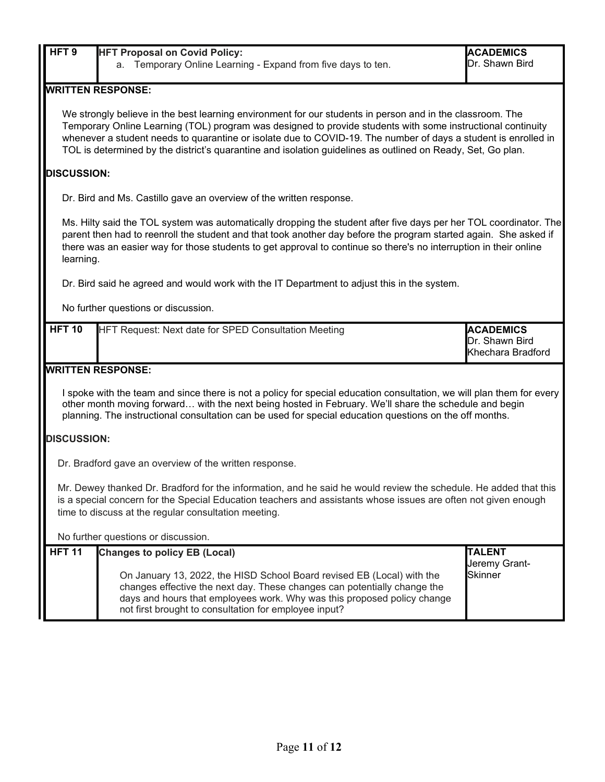| HFT <sub>9</sub>                                                                                                                                                                                                                                                                                                                                                                                                                                          | <b>HFT Proposal on Covid Policy:</b>                                                                                                                                                                                                                                                                                                                                    | <b>ACADEMICS</b>               |  |  |  |
|-----------------------------------------------------------------------------------------------------------------------------------------------------------------------------------------------------------------------------------------------------------------------------------------------------------------------------------------------------------------------------------------------------------------------------------------------------------|-------------------------------------------------------------------------------------------------------------------------------------------------------------------------------------------------------------------------------------------------------------------------------------------------------------------------------------------------------------------------|--------------------------------|--|--|--|
|                                                                                                                                                                                                                                                                                                                                                                                                                                                           | Temporary Online Learning - Expand from five days to ten.<br>a.                                                                                                                                                                                                                                                                                                         | Dr. Shawn Bird                 |  |  |  |
|                                                                                                                                                                                                                                                                                                                                                                                                                                                           | <b>WRITTEN RESPONSE:</b>                                                                                                                                                                                                                                                                                                                                                |                                |  |  |  |
| We strongly believe in the best learning environment for our students in person and in the classroom. The<br>Temporary Online Learning (TOL) program was designed to provide students with some instructional continuity<br>whenever a student needs to quarantine or isolate due to COVID-19. The number of days a student is enrolled in<br>TOL is determined by the district's quarantine and isolation guidelines as outlined on Ready, Set, Go plan. |                                                                                                                                                                                                                                                                                                                                                                         |                                |  |  |  |
| <b>DISCUSSION:</b>                                                                                                                                                                                                                                                                                                                                                                                                                                        |                                                                                                                                                                                                                                                                                                                                                                         |                                |  |  |  |
|                                                                                                                                                                                                                                                                                                                                                                                                                                                           | Dr. Bird and Ms. Castillo gave an overview of the written response.                                                                                                                                                                                                                                                                                                     |                                |  |  |  |
|                                                                                                                                                                                                                                                                                                                                                                                                                                                           | Ms. Hilty said the TOL system was automatically dropping the student after five days per her TOL coordinator. The<br>parent then had to reenroll the student and that took another day before the program started again. She asked if<br>there was an easier way for those students to get approval to continue so there's no interruption in their online<br>learning. |                                |  |  |  |
|                                                                                                                                                                                                                                                                                                                                                                                                                                                           | Dr. Bird said he agreed and would work with the IT Department to adjust this in the system.                                                                                                                                                                                                                                                                             |                                |  |  |  |
|                                                                                                                                                                                                                                                                                                                                                                                                                                                           | No further questions or discussion.                                                                                                                                                                                                                                                                                                                                     |                                |  |  |  |
| <b>HFT 10</b>                                                                                                                                                                                                                                                                                                                                                                                                                                             | HFT Request: Next date for SPED Consultation Meeting<br><b>ACADEMICS</b><br>Dr. Shawn Bird<br>Khechara Bradford                                                                                                                                                                                                                                                         |                                |  |  |  |
| <b>WRITTEN RESPONSE:</b>                                                                                                                                                                                                                                                                                                                                                                                                                                  |                                                                                                                                                                                                                                                                                                                                                                         |                                |  |  |  |
| I spoke with the team and since there is not a policy for special education consultation, we will plan them for every<br>other month moving forward with the next being hosted in February. We'll share the schedule and begin<br>planning. The instructional consultation can be used for special education questions on the off months.                                                                                                                 |                                                                                                                                                                                                                                                                                                                                                                         |                                |  |  |  |
| <b>DISCUSSION:</b>                                                                                                                                                                                                                                                                                                                                                                                                                                        |                                                                                                                                                                                                                                                                                                                                                                         |                                |  |  |  |
|                                                                                                                                                                                                                                                                                                                                                                                                                                                           | Dr. Bradford gave an overview of the written response.                                                                                                                                                                                                                                                                                                                  |                                |  |  |  |
| Mr. Dewey thanked Dr. Bradford for the information, and he said he would review the schedule. He added that this<br>is a special concern for the Special Education teachers and assistants whose issues are often not given enough<br>time to discuss at the regular consultation meeting.                                                                                                                                                                |                                                                                                                                                                                                                                                                                                                                                                         |                                |  |  |  |
| No further questions or discussion.                                                                                                                                                                                                                                                                                                                                                                                                                       |                                                                                                                                                                                                                                                                                                                                                                         |                                |  |  |  |
| <b>HFT 11</b>                                                                                                                                                                                                                                                                                                                                                                                                                                             | <b>Changes to policy EB (Local)</b>                                                                                                                                                                                                                                                                                                                                     | <b>TALENT</b><br>Jeremy Grant- |  |  |  |
|                                                                                                                                                                                                                                                                                                                                                                                                                                                           | On January 13, 2022, the HISD School Board revised EB (Local) with the<br>changes effective the next day. These changes can potentially change the<br>days and hours that employees work. Why was this proposed policy change<br>not first brought to consultation for employee input?                                                                                  | <b>Skinner</b>                 |  |  |  |